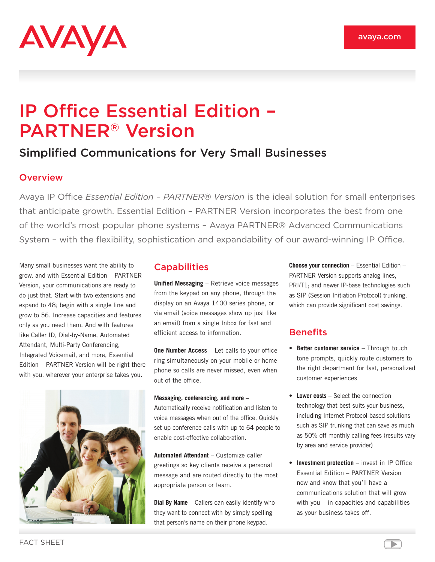

# IP Office Essential Edition – PARTNER® Version

## Simplified Communications for Very Small Businesses

### **Overview**

Avaya IP Office *Essential Edition – PARTNER® Version* is the ideal solution for small enterprises that anticipate growth. Essential Edition – PARTNER Version incorporates the best from one of the world's most popular phone systems – Avaya PARTNER® Advanced Communications System – with the flexibility, sophistication and expandability of our award-winning IP Office.

Many small businesses want the ability to grow, and with Essential Edition – PARTNER Version, your communications are ready to do just that. Start with two extensions and expand to 48; begin with a single line and grow to 56. Increase capacities and features only as you need them. And with features like Caller ID, Dial-by-Name, Automated Attendant, Multi-Party Conferencing, Integrated Voicemail, and more, Essential Edition – PARTNER Version will be right there with you, wherever your enterprise takes you.



## **Capabilities**

**Unified Messaging** – Retrieve voice messages from the keypad on any phone, through the display on an Avaya 1400 series phone, or via email (voice messages show up just like an email) from a single Inbox for fast and efficient access to information.

**One Number Access** – Let calls to your office ring simultaneously on your mobile or home phone so calls are never missed, even when out of the office.

#### **Messaging, conferencing, and more** –

Automatically receive notification and listen to voice messages when out of the office. Quickly set up conference calls with up to 64 people to enable cost-effective collaboration.

**Automated Attendant** – Customize caller greetings so key clients receive a personal message and are routed directly to the most appropriate person or team.

**Dial By Name** – Callers can easily identify who they want to connect with by simply spelling that person's name on their phone keypad.

**Choose your connection** – Essential Edition – PARTNER Version supports analog lines, PRI/T1; and newer IP-base technologies such as SIP (Session Initiation Protocol) trunking, which can provide significant cost savings.

## **Benefits**

- **Better customer service** Through touch tone prompts, quickly route customers to the right department for fast, personalized customer experiences
- **Lower costs** Select the connection technology that best suits your business, including Internet Protocol-based solutions such as SIP trunking that can save as much as 50% off monthly calling fees (results vary by area and service provider)
- **Investment protection** invest in IP Office Essential Edition – PARTNER Version now and know that you'll have a communications solution that will grow with you – in capacities and capabilities – as your business takes off.